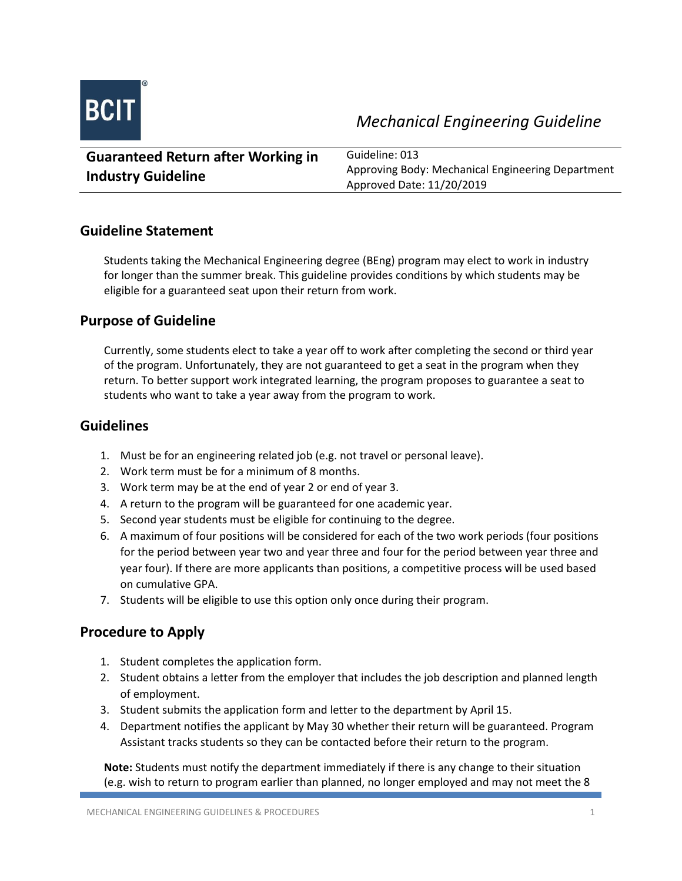

| <b>Guaranteed Return after Working in</b> | Guideline: 013                                    |
|-------------------------------------------|---------------------------------------------------|
| <b>Industry Guideline</b>                 | Approving Body: Mechanical Engineering Department |
|                                           | Approved Date: 11/20/2019                         |

### **Guideline Statement**

Students taking the Mechanical Engineering degree (BEng) program may elect to work in industry for longer than the summer break. This guideline provides conditions by which students may be eligible for a guaranteed seat upon their return from work.

### **Purpose of Guideline**

Currently, some students elect to take a year off to work after completing the second or third year of the program. Unfortunately, they are not guaranteed to get a seat in the program when they return. To better support work integrated learning, the program proposes to guarantee a seat to students who want to take a year away from the program to work.

#### **Guidelines**

- 1. Must be for an engineering related job (e.g. not travel or personal leave).
- 2. Work term must be for a minimum of 8 months.
- 3. Work term may be at the end of year 2 or end of year 3.
- 4. A return to the program will be guaranteed for one academic year.
- 5. Second year students must be eligible for continuing to the degree.
- 6. A maximum of four positions will be considered for each of the two work periods (four positions for the period between year two and year three and four for the period between year three and year four). If there are more applicants than positions, a competitive process will be used based on cumulative GPA.
- 7. Students will be eligible to use this option only once during their program.

## **Procedure to Apply**

- 1. Student completes the application form.
- 2. Student obtains a letter from the employer that includes the job description and planned length of employment.
- 3. Student submits the application form and letter to the department by April 15.
- 4. Department notifies the applicant by May 30 whether their return will be guaranteed. Program Assistant tracks students so they can be contacted before their return to the program.

**Note:** Students must notify the department immediately if there is any change to their situation (e.g. wish to return to program earlier than planned, no longer employed and may not meet the 8